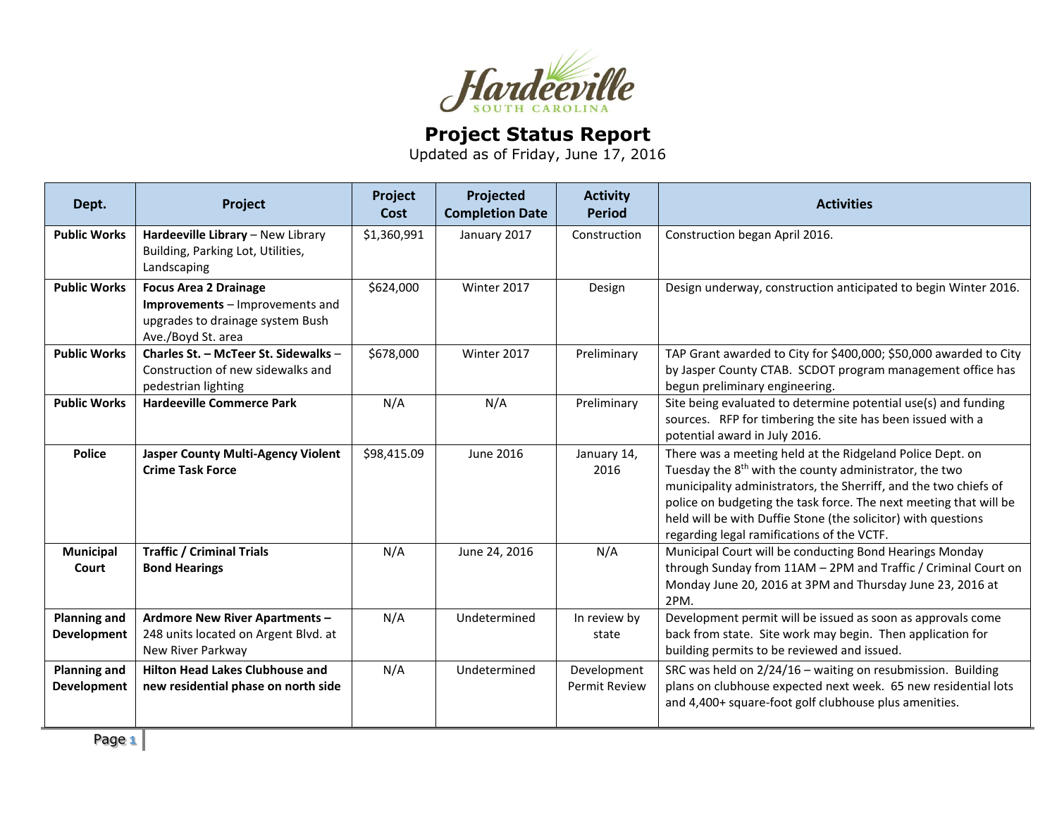

## **Project Status Report**

Updated as of Friday, June 17, 2016

| Dept.                                     | Project                                                                                                                   | Project<br>Cost | Projected<br><b>Completion Date</b> | <b>Activity</b><br><b>Period</b>    | <b>Activities</b>                                                                                                                                                                                                                                                                                                                                                                       |
|-------------------------------------------|---------------------------------------------------------------------------------------------------------------------------|-----------------|-------------------------------------|-------------------------------------|-----------------------------------------------------------------------------------------------------------------------------------------------------------------------------------------------------------------------------------------------------------------------------------------------------------------------------------------------------------------------------------------|
| <b>Public Works</b>                       | Hardeeville Library - New Library<br>Building, Parking Lot, Utilities,<br>Landscaping                                     | \$1,360,991     | January 2017                        | Construction                        | Construction began April 2016.                                                                                                                                                                                                                                                                                                                                                          |
| <b>Public Works</b>                       | <b>Focus Area 2 Drainage</b><br>Improvements - Improvements and<br>upgrades to drainage system Bush<br>Ave./Boyd St. area | \$624,000       | Winter 2017                         | Design                              | Design underway, construction anticipated to begin Winter 2016.                                                                                                                                                                                                                                                                                                                         |
| <b>Public Works</b>                       | Charles St. - McTeer St. Sidewalks -<br>Construction of new sidewalks and<br>pedestrian lighting                          | \$678,000       | Winter 2017                         | Preliminary                         | TAP Grant awarded to City for \$400,000; \$50,000 awarded to City<br>by Jasper County CTAB. SCDOT program management office has<br>begun preliminary engineering.                                                                                                                                                                                                                       |
| <b>Public Works</b>                       | <b>Hardeeville Commerce Park</b>                                                                                          | N/A             | N/A                                 | Preliminary                         | Site being evaluated to determine potential use(s) and funding<br>sources. RFP for timbering the site has been issued with a<br>potential award in July 2016.                                                                                                                                                                                                                           |
| <b>Police</b>                             | <b>Jasper County Multi-Agency Violent</b><br><b>Crime Task Force</b>                                                      | \$98,415.09     | June 2016                           | January 14,<br>2016                 | There was a meeting held at the Ridgeland Police Dept. on<br>Tuesday the 8 <sup>th</sup> with the county administrator, the two<br>municipality administrators, the Sherriff, and the two chiefs of<br>police on budgeting the task force. The next meeting that will be<br>held will be with Duffie Stone (the solicitor) with questions<br>regarding legal ramifications of the VCTF. |
| <b>Municipal</b><br>Court                 | <b>Traffic / Criminal Trials</b><br><b>Bond Hearings</b>                                                                  | N/A             | June 24, 2016                       | N/A                                 | Municipal Court will be conducting Bond Hearings Monday<br>through Sunday from 11AM - 2PM and Traffic / Criminal Court on<br>Monday June 20, 2016 at 3PM and Thursday June 23, 2016 at<br>2PM.                                                                                                                                                                                          |
| <b>Planning and</b><br><b>Development</b> | <b>Ardmore New River Apartments -</b><br>248 units located on Argent Blvd. at<br>New River Parkway                        | N/A             | Undetermined                        | In review by<br>state               | Development permit will be issued as soon as approvals come<br>back from state. Site work may begin. Then application for<br>building permits to be reviewed and issued.                                                                                                                                                                                                                |
| <b>Planning and</b><br><b>Development</b> | <b>Hilton Head Lakes Clubhouse and</b><br>new residential phase on north side                                             | N/A             | Undetermined                        | Development<br><b>Permit Review</b> | SRC was held on 2/24/16 - waiting on resubmission. Building<br>plans on clubhouse expected next week. 65 new residential lots<br>and 4,400+ square-foot golf clubhouse plus amenities.                                                                                                                                                                                                  |

Page **1**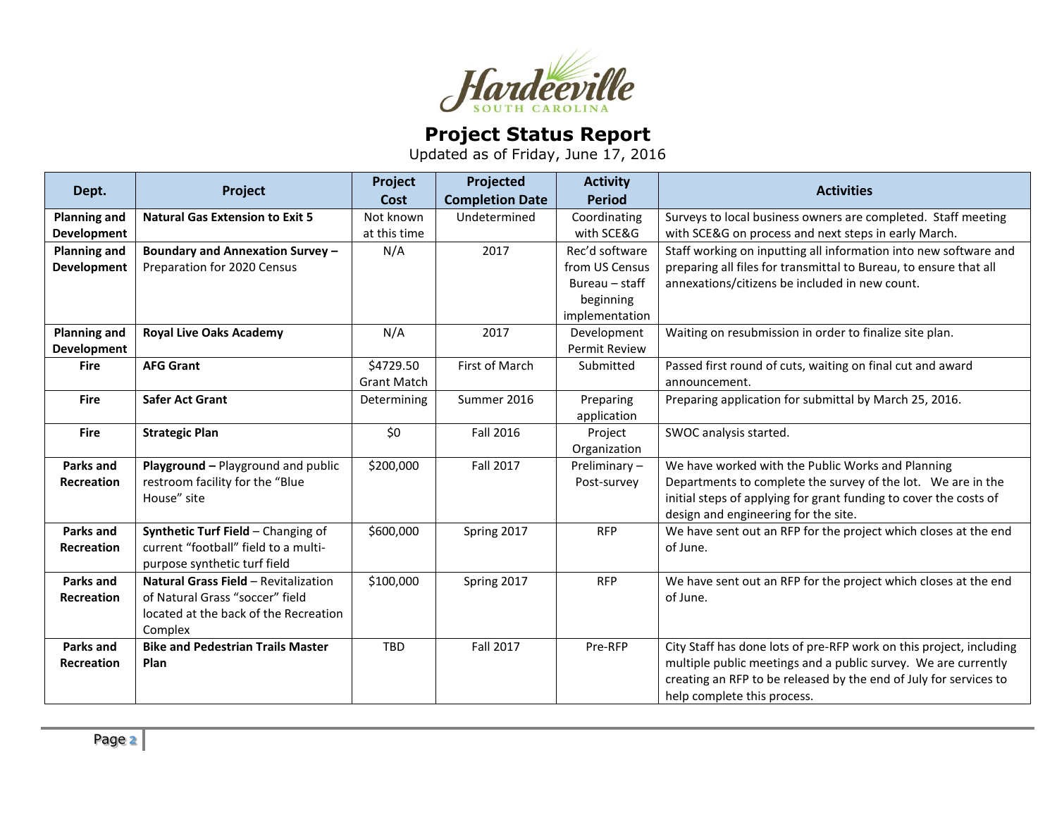

## **Project Status Report**

Updated as of Friday, June 17, 2016

| Dept.               | Project                                     | Project<br>Cost    | Projected<br><b>Completion Date</b> | <b>Activity</b><br><b>Period</b> | <b>Activities</b>                                                   |
|---------------------|---------------------------------------------|--------------------|-------------------------------------|----------------------------------|---------------------------------------------------------------------|
|                     |                                             |                    |                                     |                                  |                                                                     |
| <b>Planning and</b> | <b>Natural Gas Extension to Exit 5</b>      | Not known          | Undetermined                        | Coordinating                     | Surveys to local business owners are completed. Staff meeting       |
| <b>Development</b>  |                                             | at this time       |                                     | with SCE&G                       | with SCE&G on process and next steps in early March.                |
| <b>Planning and</b> | Boundary and Annexation Survey -            | N/A                | 2017                                | Rec'd software                   | Staff working on inputting all information into new software and    |
| <b>Development</b>  | Preparation for 2020 Census                 |                    |                                     | from US Census                   | preparing all files for transmittal to Bureau, to ensure that all   |
|                     |                                             |                    |                                     | Bureau - staff                   | annexations/citizens be included in new count.                      |
|                     |                                             |                    |                                     | beginning                        |                                                                     |
|                     |                                             |                    |                                     | implementation                   |                                                                     |
| <b>Planning and</b> | <b>Royal Live Oaks Academy</b>              | N/A                | 2017                                | Development                      | Waiting on resubmission in order to finalize site plan.             |
| Development         |                                             |                    |                                     | Permit Review                    |                                                                     |
| <b>Fire</b>         | <b>AFG Grant</b>                            | \$4729.50          | First of March                      | Submitted                        | Passed first round of cuts, waiting on final cut and award          |
|                     |                                             | <b>Grant Match</b> |                                     |                                  | announcement.                                                       |
| <b>Fire</b>         | <b>Safer Act Grant</b>                      | Determining        | Summer 2016                         | Preparing                        | Preparing application for submittal by March 25, 2016.              |
|                     |                                             |                    |                                     | application                      |                                                                     |
| <b>Fire</b>         | <b>Strategic Plan</b>                       | \$0                | <b>Fall 2016</b>                    | Project                          | SWOC analysis started.                                              |
|                     |                                             |                    |                                     | Organization                     |                                                                     |
| Parks and           | Playground - Playground and public          | \$200,000          | Fall 2017                           | Preliminary-                     | We have worked with the Public Works and Planning                   |
| <b>Recreation</b>   | restroom facility for the "Blue             |                    |                                     | Post-survey                      | Departments to complete the survey of the lot. We are in the        |
|                     | House" site                                 |                    |                                     |                                  | initial steps of applying for grant funding to cover the costs of   |
|                     |                                             |                    |                                     |                                  | design and engineering for the site.                                |
| Parks and           | Synthetic Turf Field - Changing of          | \$600,000          | Spring 2017                         | <b>RFP</b>                       | We have sent out an RFP for the project which closes at the end     |
| Recreation          | current "football" field to a multi-        |                    |                                     |                                  | of June.                                                            |
|                     | purpose synthetic turf field                |                    |                                     |                                  |                                                                     |
| Parks and           | <b>Natural Grass Field - Revitalization</b> | \$100,000          | Spring 2017                         | <b>RFP</b>                       | We have sent out an RFP for the project which closes at the end     |
| <b>Recreation</b>   | of Natural Grass "soccer" field             |                    |                                     |                                  | of June.                                                            |
|                     | located at the back of the Recreation       |                    |                                     |                                  |                                                                     |
|                     | Complex                                     |                    |                                     |                                  |                                                                     |
| <b>Parks and</b>    | <b>Bike and Pedestrian Trails Master</b>    | TBD                | Fall 2017                           | Pre-RFP                          | City Staff has done lots of pre-RFP work on this project, including |
| <b>Recreation</b>   | Plan                                        |                    |                                     |                                  | multiple public meetings and a public survey. We are currently      |
|                     |                                             |                    |                                     |                                  | creating an RFP to be released by the end of July for services to   |
|                     |                                             |                    |                                     |                                  | help complete this process.                                         |